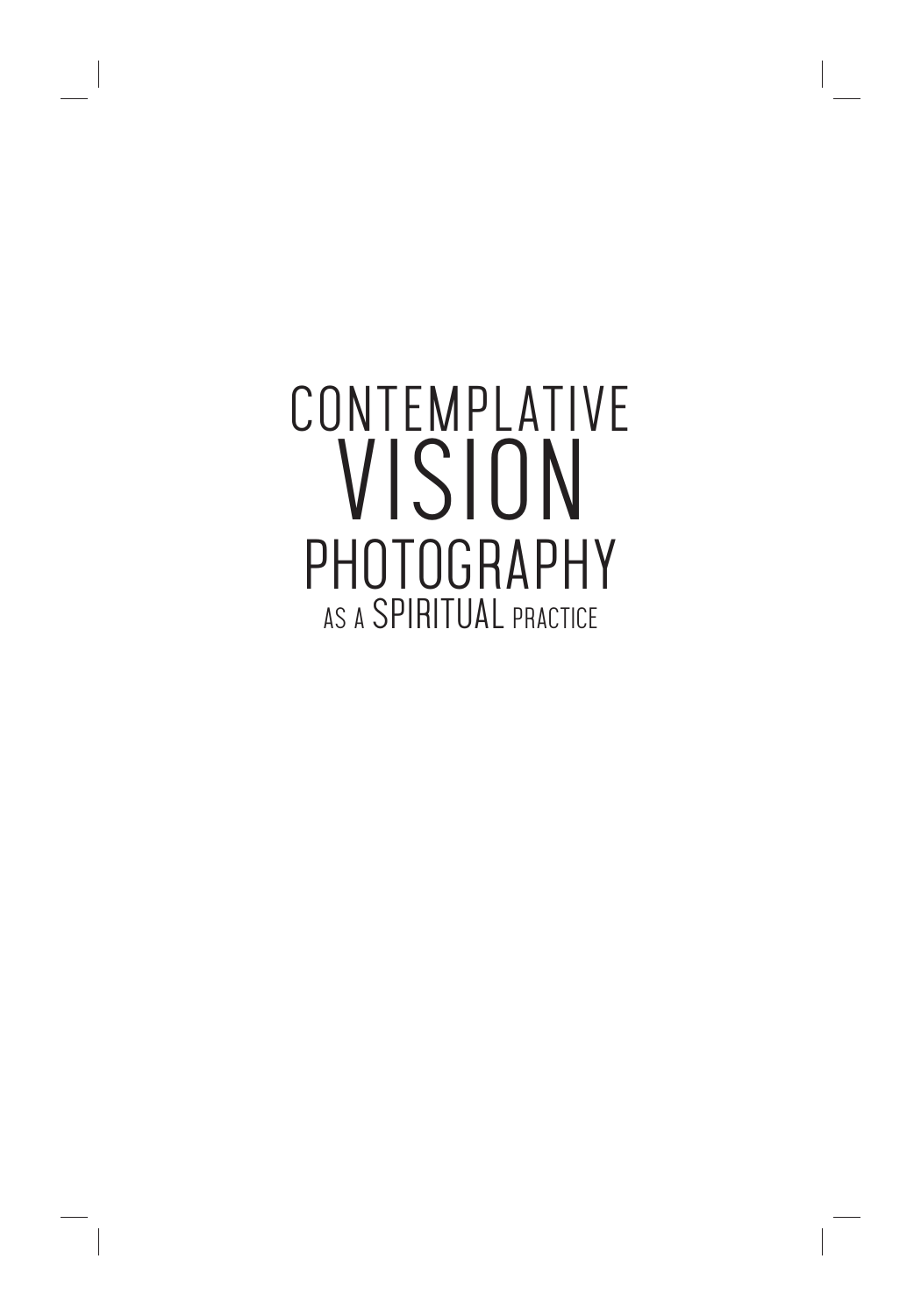# Contemplative VISION Photography AS A SPIRITUAL PRACTICE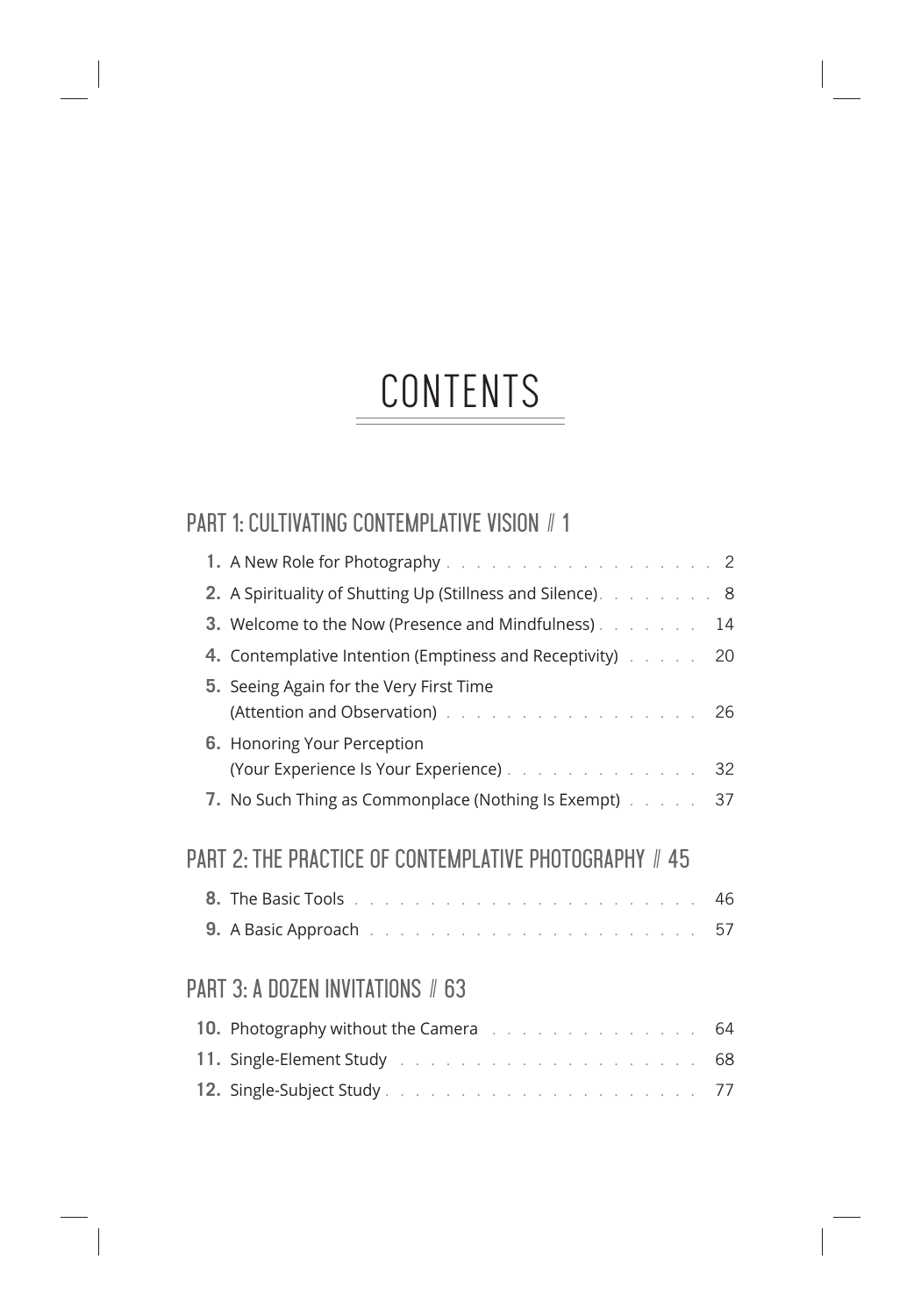# **CONTENTS**

### PART 1: CULTIVATING CONTEMPLATIVE VISION // 1

| 2. A Spirituality of Shutting Up (Stillness and Silence). 8                                                         |    |
|---------------------------------------------------------------------------------------------------------------------|----|
| 3. Welcome to the Now (Presence and Mindfulness) and a contact the U.S.                                             | 14 |
| 4. Contemplative Intention (Emptiness and Receptivity) Allance 20                                                   |    |
| 5. Seeing Again for the Very First Time<br>(Attention and Observation) 26                                           |    |
| 6. Honoring Your Perception<br>(Your Experience Is Your Experience) Alberts Alberts Alberts Alberts Alberts Alberts |    |
| 7. No Such Thing as Commonplace (Nothing Is Exempt) and a set of                                                    | 37 |
| PART 2: THE PRACTICE OF CONTEMPLATIVE PHOTOGRAPHY // 45                                                             |    |
|                                                                                                                     | 46 |
|                                                                                                                     | 57 |
| PART 3: A DOZEN INVITATIONS # 63                                                                                    |    |
| 10. Photography without the Camera Alberta Alberta Alberta Alberta Alberta Alberta Alberta Alberta Alberta Alb      | 64 |
|                                                                                                                     |    |
|                                                                                                                     | 77 |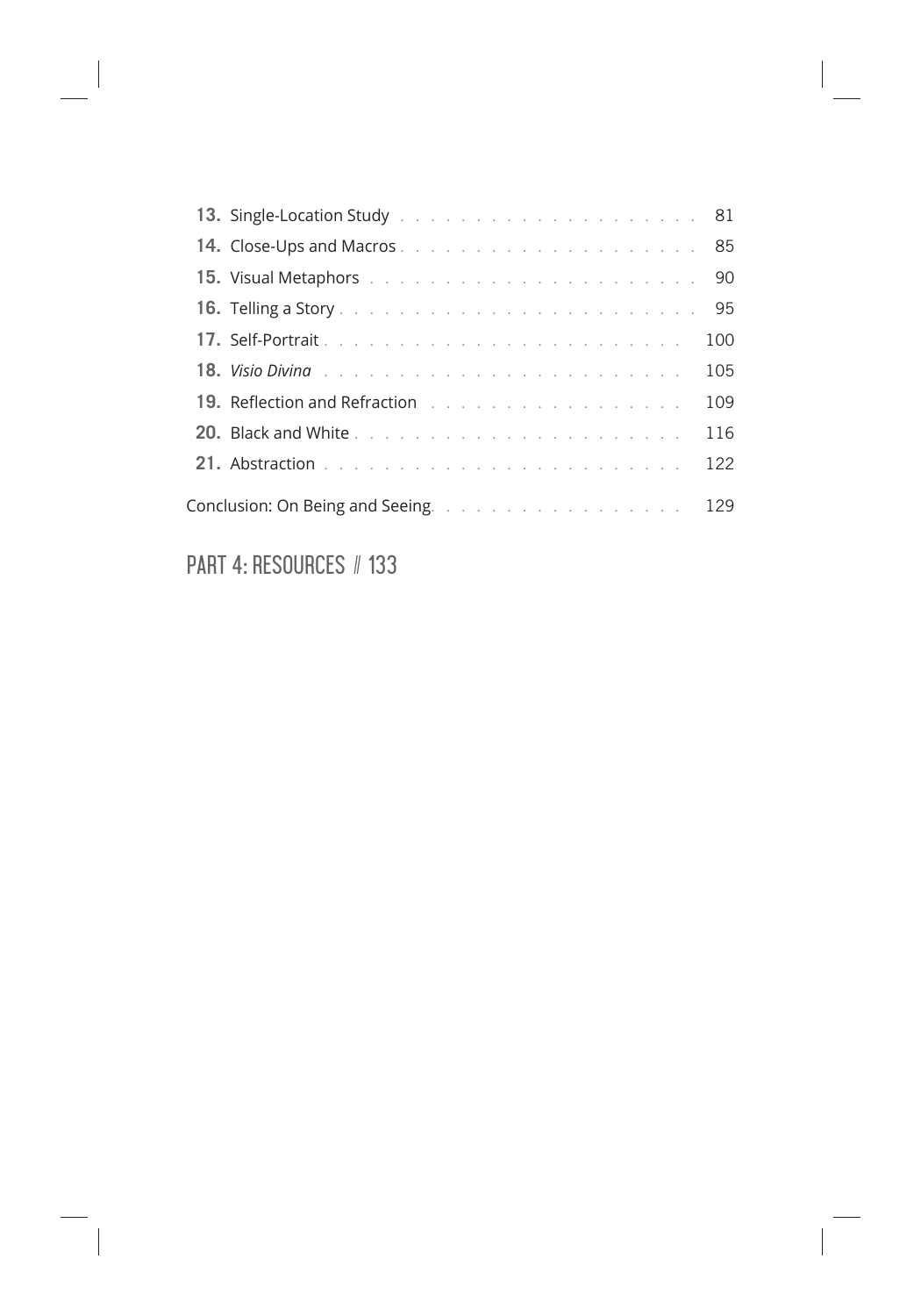|                                                                                                                                                                                                                               |  |  |  |  |  |  |  |  | 90  |
|-------------------------------------------------------------------------------------------------------------------------------------------------------------------------------------------------------------------------------|--|--|--|--|--|--|--|--|-----|
|                                                                                                                                                                                                                               |  |  |  |  |  |  |  |  | 95  |
|                                                                                                                                                                                                                               |  |  |  |  |  |  |  |  | 100 |
|                                                                                                                                                                                                                               |  |  |  |  |  |  |  |  | 105 |
| 19. Reflection and Refraction with a substitution of the set of the set of the set of the set of the set of the set of the set of the set of the set of the set of the set of the set of the set of the set of the set of the |  |  |  |  |  |  |  |  | 109 |
|                                                                                                                                                                                                                               |  |  |  |  |  |  |  |  | 116 |
|                                                                                                                                                                                                                               |  |  |  |  |  |  |  |  | 122 |
| Conclusion: On Being and Seeing.                                                                                                                                                                                              |  |  |  |  |  |  |  |  | 129 |

### PART 4: RESOURCES // 133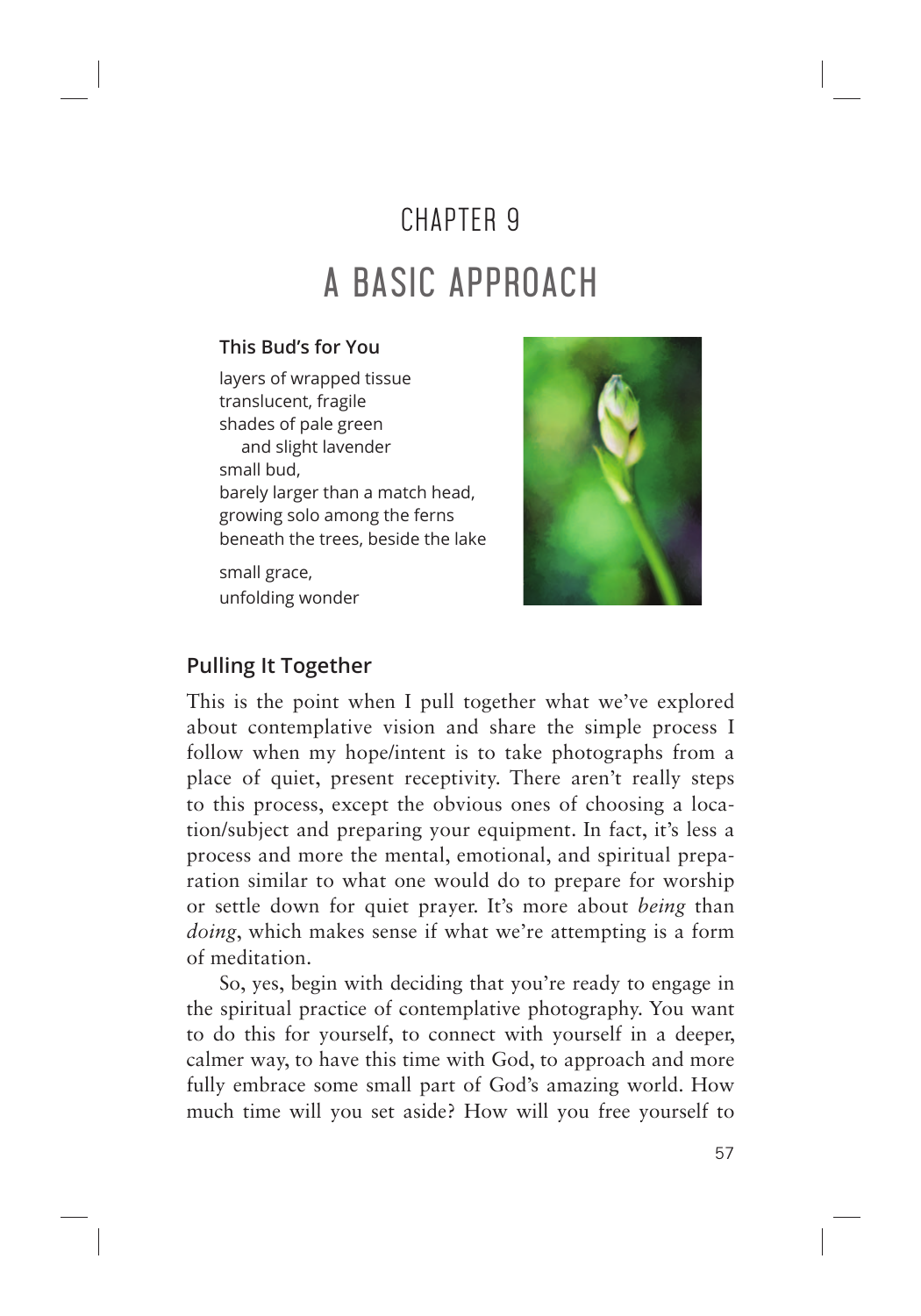## CHAPTER 9 A Basic Approach

#### **This Bud's for You**

layers of wrapped tissue translucent, fragile shades of pale green and slight lavender small bud, barely larger than a match head, growing solo among the ferns beneath the trees, beside the lake

small grace, unfolding wonder



#### **Pulling It Together**

This is the point when I pull together what we've explored about contemplative vision and share the simple process I follow when my hope/intent is to take photographs from a place of quiet, present receptivity. There aren't really steps to this process, except the obvious ones of choosing a location/subject and preparing your equipment. In fact, it's less a process and more the mental, emotional, and spiritual preparation similar to what one would do to prepare for worship or settle down for quiet prayer. It's more about *being* than *doing*, which makes sense if what we're attempting is a form of meditation.

So, yes, begin with deciding that you're ready to engage in the spiritual practice of contemplative photography. You want to do this for yourself, to connect with yourself in a deeper, calmer way, to have this time with God, to approach and more fully embrace some small part of God's amazing world. How much time will you set aside? How will you free yourself to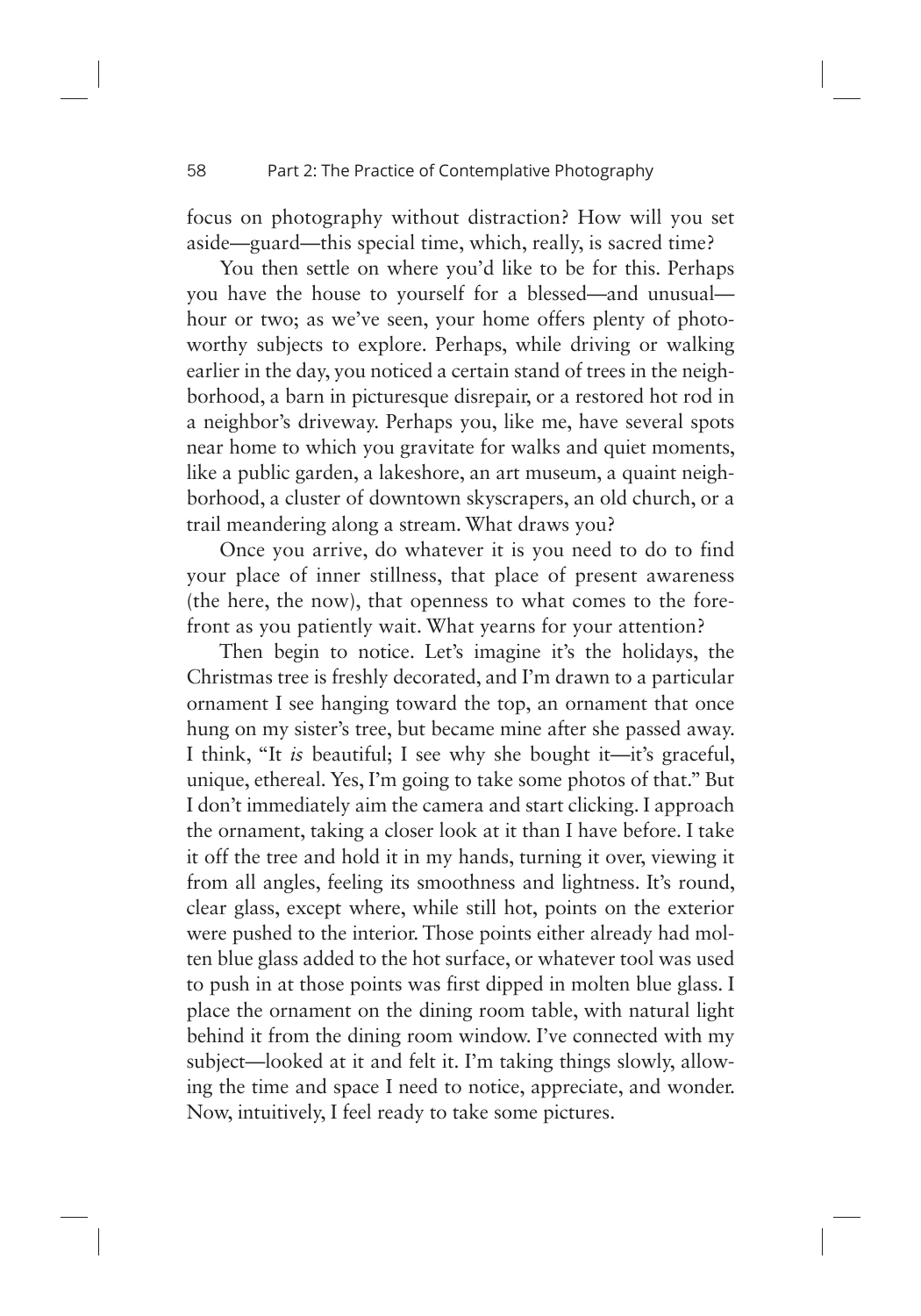focus on photography without distraction? How will you set aside—guard—this special time, which, really, is sacred time?

You then settle on where you'd like to be for this. Perhaps you have the house to yourself for a blessed—and unusual hour or two; as we've seen, your home offers plenty of photoworthy subjects to explore. Perhaps, while driving or walking earlier in the day, you noticed a certain stand of trees in the neighborhood, a barn in picturesque disrepair, or a restored hot rod in a neighbor's driveway. Perhaps you, like me, have several spots near home to which you gravitate for walks and quiet moments, like a public garden, a lakeshore, an art museum, a quaint neighborhood, a cluster of downtown skyscrapers, an old church, or a trail meandering along a stream. What draws you?

Once you arrive, do whatever it is you need to do to find your place of inner stillness, that place of present awareness (the here, the now), that openness to what comes to the forefront as you patiently wait. What yearns for your attention?

Then begin to notice. Let's imagine it's the holidays, the Christmas tree is freshly decorated, and I'm drawn to a particular ornament I see hanging toward the top, an ornament that once hung on my sister's tree, but became mine after she passed away. I think, "It *is* beautiful; I see why she bought it—it's graceful, unique, ethereal. Yes, I'm going to take some photos of that." But I don't immediately aim the camera and start clicking. I approach the ornament, taking a closer look at it than I have before. I take it off the tree and hold it in my hands, turning it over, viewing it from all angles, feeling its smoothness and lightness. It's round, clear glass, except where, while still hot, points on the exterior were pushed to the interior. Those points either already had molten blue glass added to the hot surface, or whatever tool was used to push in at those points was first dipped in molten blue glass. I place the ornament on the dining room table, with natural light behind it from the dining room window. I've connected with my subject—looked at it and felt it. I'm taking things slowly, allowing the time and space I need to notice, appreciate, and wonder. Now, intuitively, I feel ready to take some pictures.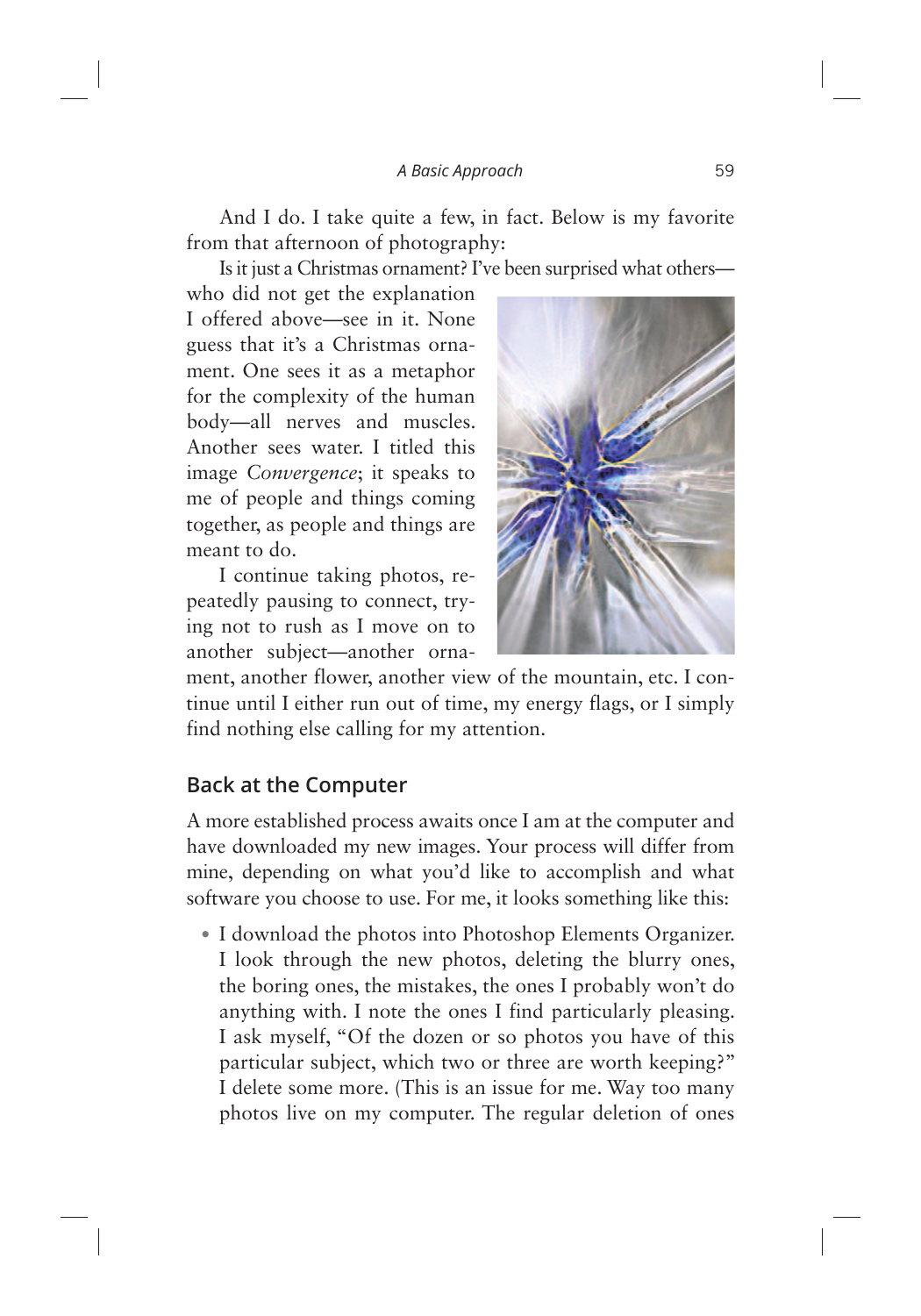And I do. I take quite a few, in fact. Below is my favorite from that afternoon of photography:

Is it just a Christmas ornament? I've been surprised what others—

who did not get the explanation I offered above—see in it. None guess that it's a Christmas ornament. One sees it as a metaphor for the complexity of the human body—all nerves and muscles. Another sees water. I titled this image *Convergence*; it speaks to me of people and things coming together, as people and things are meant to do.

I continue taking photos, repeatedly pausing to connect, trying not to rush as I move on to another subject—another orna-



ment, another flower, another view of the mountain, etc. I continue until I either run out of time, my energy flags, or I simply find nothing else calling for my attention.

#### **Back at the Computer**

A more established process awaits once I am at the computer and have downloaded my new images. Your process will differ from mine, depending on what you'd like to accomplish and what software you choose to use. For me, it looks something like this:

• I download the photos into Photoshop Elements Organizer. I look through the new photos, deleting the blurry ones, the boring ones, the mistakes, the ones I probably won't do anything with. I note the ones I find particularly pleasing. I ask myself, "Of the dozen or so photos you have of this particular subject, which two or three are worth keeping?" I delete some more. (This is an issue for me. Way too many photos live on my computer. The regular deletion of ones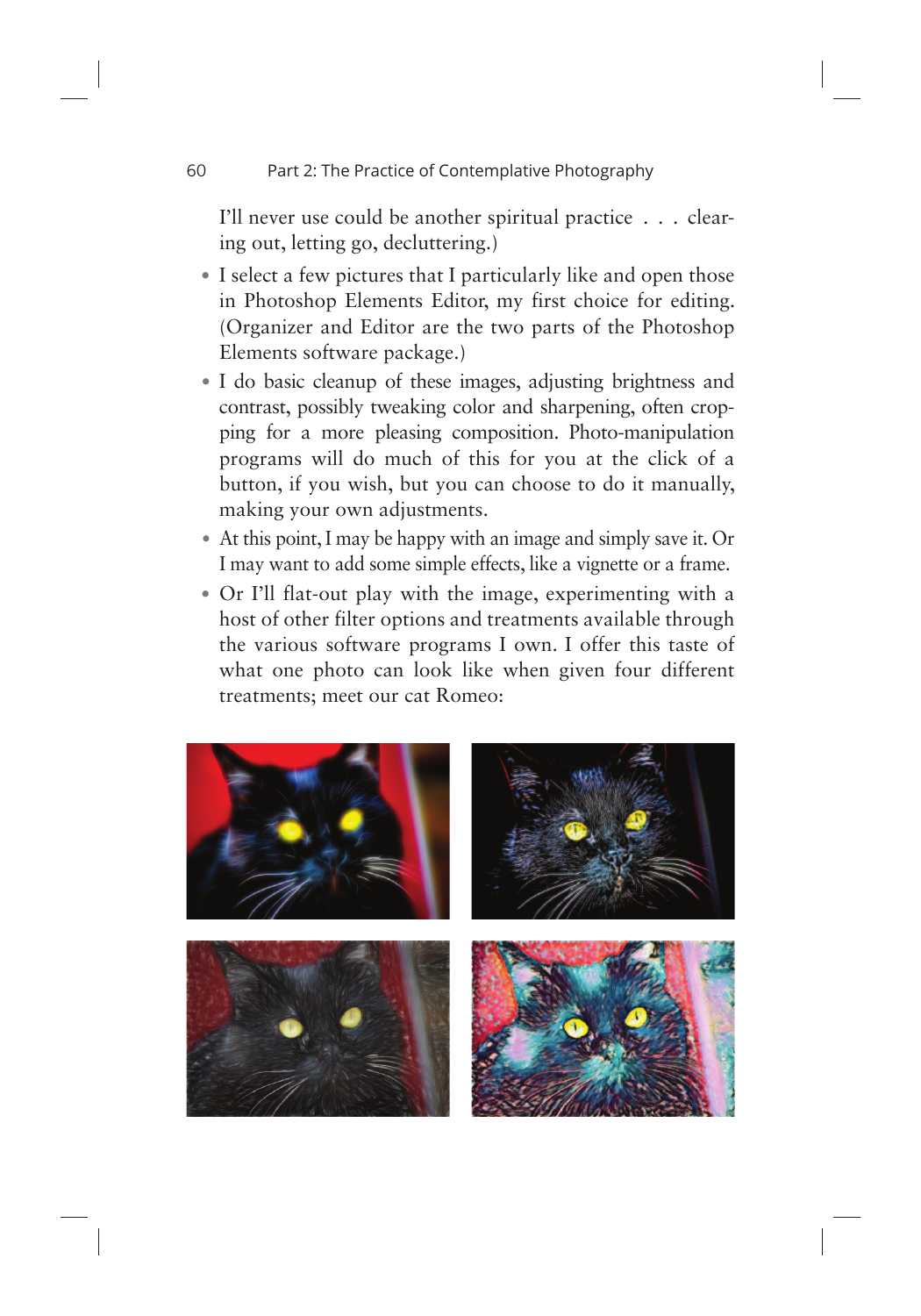I'll never use could be another spiritual practice . . . clearing out, letting go, decluttering.)

- I select a few pictures that I particularly like and open those in Photoshop Elements Editor, my first choice for editing. (Organizer and Editor are the two parts of the Photoshop Elements software package.)
- I do basic cleanup of these images, adjusting brightness and contrast, possibly tweaking color and sharpening, often cropping for a more pleasing composition. Photo-manipulation programs will do much of this for you at the click of a button, if you wish, but you can choose to do it manually, making your own adjustments.
- At this point, I may be happy with an image and simply save it. Or I may want to add some simple effects, like a vignette or a frame.
- Or I'll flat-out play with the image, experimenting with a host of other filter options and treatments available through the various software programs I own. I offer this taste of what one photo can look like when given four different treatments; meet our cat Romeo:

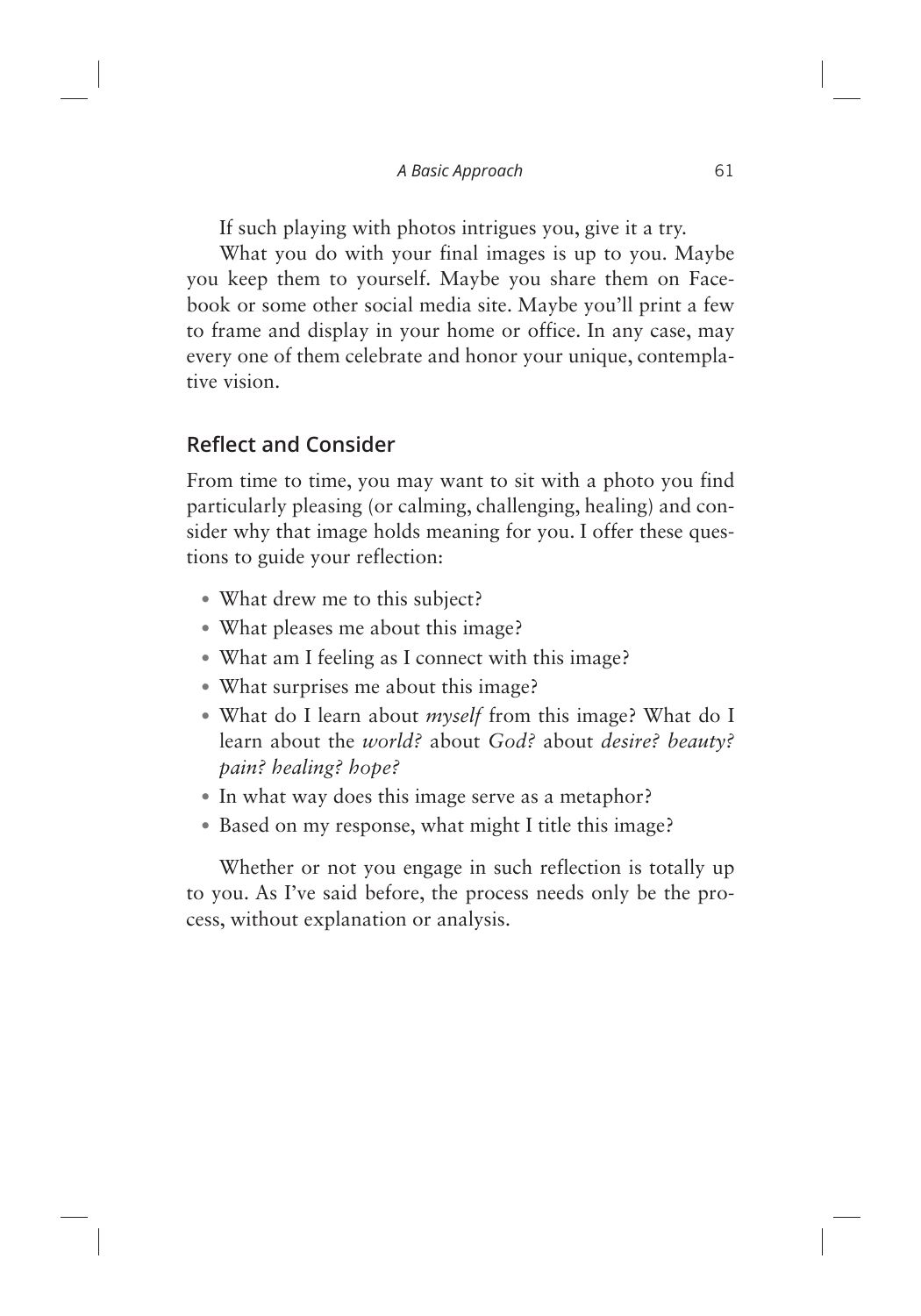If such playing with photos intrigues you, give it a try.

What you do with your final images is up to you. Maybe you keep them to yourself. Maybe you share them on Facebook or some other social media site. Maybe you'll print a few to frame and display in your home or office. In any case, may every one of them celebrate and honor your unique, contemplative vision.

#### **Reflect and Consider**

From time to time, you may want to sit with a photo you find particularly pleasing (or calming, challenging, healing) and consider why that image holds meaning for you. I offer these questions to guide your reflection:

- What drew me to this subject?
- What pleases me about this image?
- What am I feeling as I connect with this image?
- What surprises me about this image?
- What do I learn about *myself* from this image? What do I learn about the *world?* about *God?* about *desire? beauty? pain? healing? hope?*
- In what way does this image serve as a metaphor?
- Based on my response, what might I title this image?

Whether or not you engage in such reflection is totally up to you. As I've said before, the process needs only be the process, without explanation or analysis.